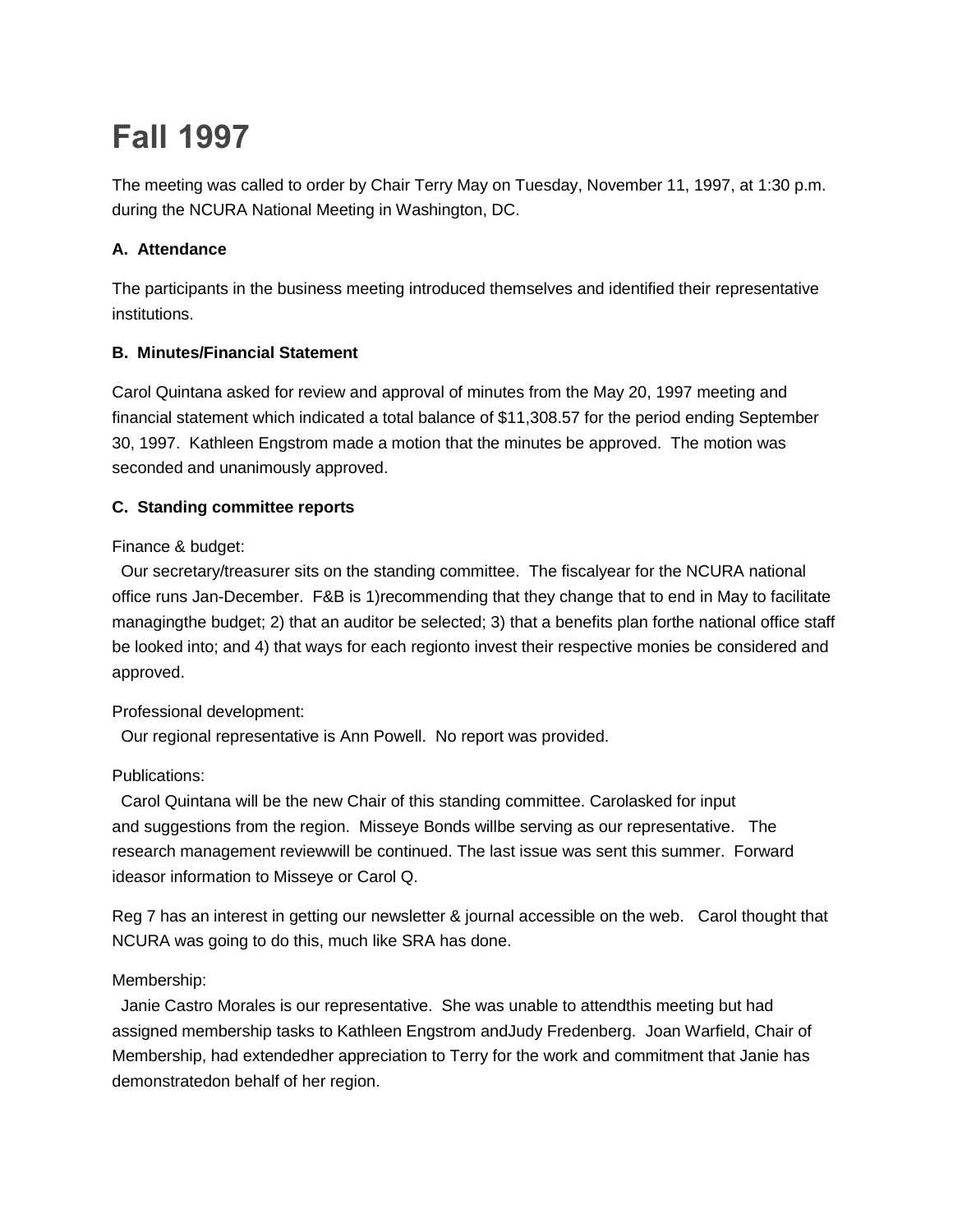# **Fall 1997**

The meeting was called to order by Chair Terry May on Tuesday, November 11, 1997, at 1:30 p.m. during the NCURA National Meeting in Washington, DC.

# **A. Attendance**

The participants in the business meeting introduced themselves and identified their representative institutions.

# **B. Minutes/Financial Statement**

Carol Quintana asked for review and approval of minutes from the May 20, 1997 meeting and financial statement which indicated a total balance of \$11,308.57 for the period ending September 30, 1997. Kathleen Engstrom made a motion that the minutes be approved. The motion was seconded and unanimously approved.

# **C. Standing committee reports**

Finance & budget:

Our secretary/treasurer sits on the standing committee. The fiscalyear for the NCURA national office runs Jan-December. F&B is 1)recommending that they change that to end in May to facilitate managingthe budget; 2) that an auditor be selected; 3) that a benefits plan forthe national office staff be looked into; and 4) that ways for each regionto invest their respective monies be considered and approved.

## Professional development:

Our regional representative is Ann Powell. No report was provided.

## Publications:

Carol Quintana will be the new Chair of this standing committee. Carolasked for input and suggestions from the region. Misseye Bonds willbe serving as our representative. The research management reviewwill be continued. The last issue was sent this summer. Forward ideasor information to Misseye or Carol Q.

Reg 7 has an interest in getting our newsletter & journal accessible on the web. Carol thought that NCURA was going to do this, much like SRA has done.

# Membership:

Janie Castro Morales is our representative. She was unable to attendthis meeting but had assigned membership tasks to Kathleen Engstrom andJudy Fredenberg. Joan Warfield, Chair of Membership, had extendedher appreciation to Terry for the work and commitment that Janie has demonstratedon behalf of her region.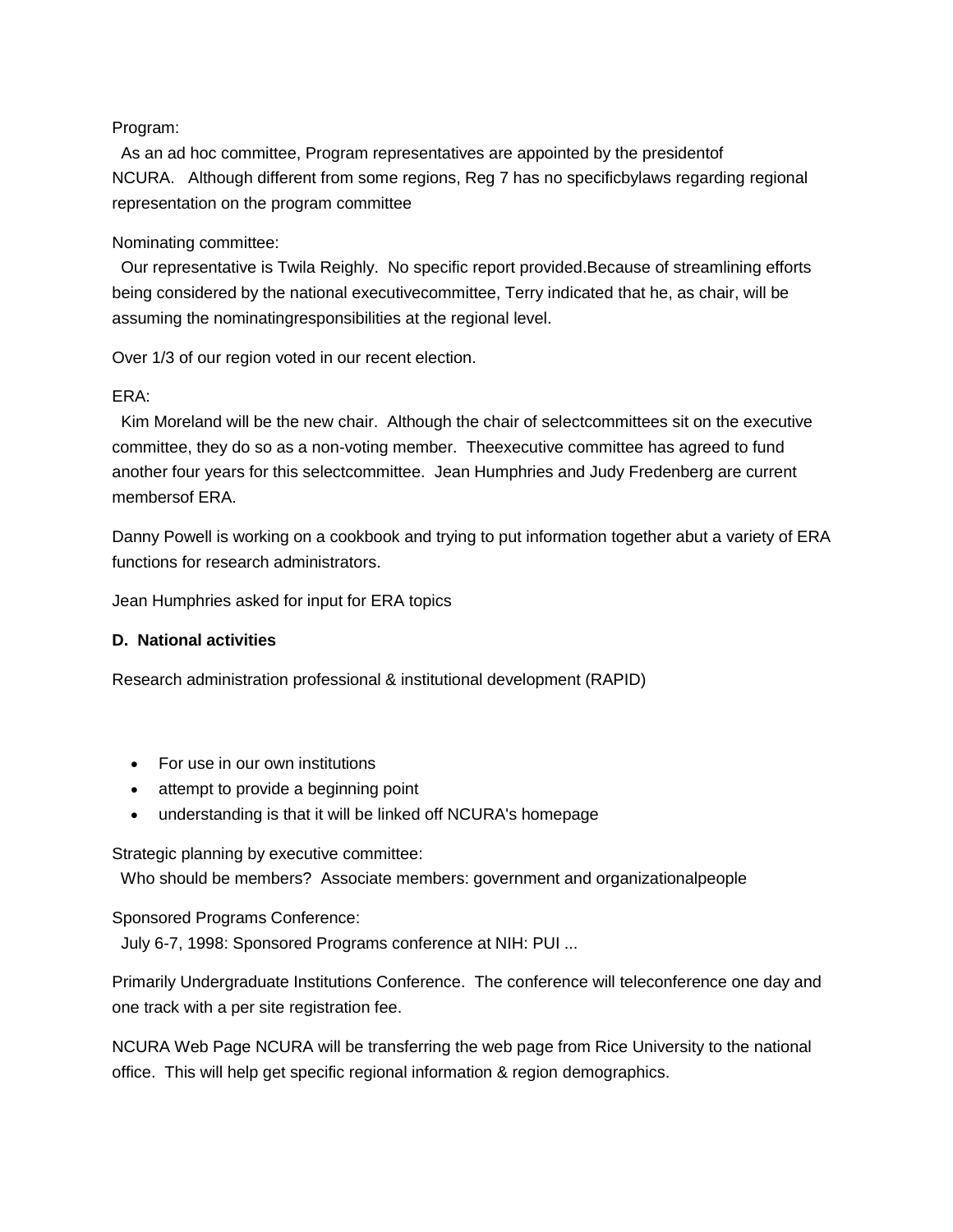#### Program:

As an ad hoc committee, Program representatives are appointed by the presidentof NCURA. Although different from some regions, Reg 7 has no specificbylaws regarding regional representation on the program committee

#### Nominating committee:

Our representative is Twila Reighly. No specific report provided.Because of streamlining efforts being considered by the national executivecommittee, Terry indicated that he, as chair, will be assuming the nominatingresponsibilities at the regional level.

Over 1/3 of our region voted in our recent election.

#### ERA:

Kim Moreland will be the new chair. Although the chair of selectcommittees sit on the executive committee, they do so as a non-voting member. Theexecutive committee has agreed to fund another four years for this selectcommittee. Jean Humphries and Judy Fredenberg are current membersof ERA.

Danny Powell is working on a cookbook and trying to put information together abut a variety of ERA functions for research administrators.

Jean Humphries asked for input for ERA topics

## **D. National activities**

Research administration professional & institutional development (RAPID)

- For use in our own institutions
- attempt to provide a beginning point
- understanding is that it will be linked off NCURA's homepage

Strategic planning by executive committee:

Who should be members? Associate members: government and organizationalpeople

## Sponsored Programs Conference:

July 6-7, 1998: Sponsored Programs conference at NIH: PUI ...

Primarily Undergraduate Institutions Conference. The conference will teleconference one day and one track with a per site registration fee.

NCURA Web Page NCURA will be transferring the web page from Rice University to the national office. This will help get specific regional information & region demographics.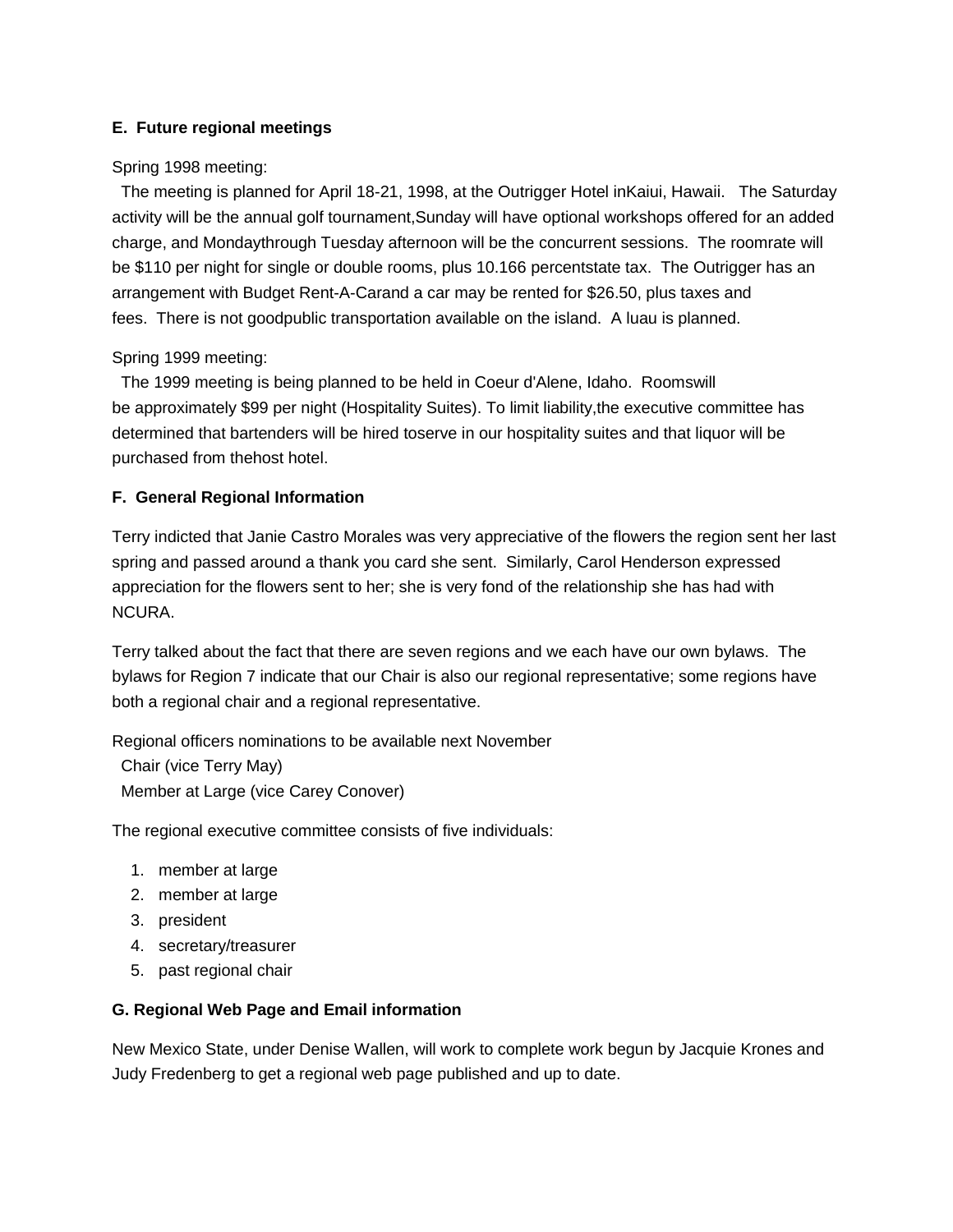## **E. Future regional meetings**

#### Spring 1998 meeting:

The meeting is planned for April 18-21, 1998, at the Outrigger Hotel inKaiui, Hawaii. The Saturday activity will be the annual golf tournament,Sunday will have optional workshops offered for an added charge, and Mondaythrough Tuesday afternoon will be the concurrent sessions. The roomrate will be \$110 per night for single or double rooms, plus 10.166 percentstate tax. The Outrigger has an arrangement with Budget Rent-A-Carand a car may be rented for \$26.50, plus taxes and fees. There is not goodpublic transportation available on the island. A luau is planned.

#### Spring 1999 meeting:

The 1999 meeting is being planned to be held in Coeur d'Alene, Idaho. Roomswill be approximately \$99 per night (Hospitality Suites). To limit liability,the executive committee has determined that bartenders will be hired toserve in our hospitality suites and that liquor will be purchased from thehost hotel.

## **F. General Regional Information**

Terry indicted that Janie Castro Morales was very appreciative of the flowers the region sent her last spring and passed around a thank you card she sent. Similarly, Carol Henderson expressed appreciation for the flowers sent to her; she is very fond of the relationship she has had with NCURA.

Terry talked about the fact that there are seven regions and we each have our own bylaws. The bylaws for Region 7 indicate that our Chair is also our regional representative; some regions have both a regional chair and a regional representative.

Regional officers nominations to be available next November

Chair (vice Terry May) Member at Large (vice Carey Conover)

The regional executive committee consists of five individuals:

- 1. member at large
- 2. member at large
- 3. president
- 4. secretary/treasurer
- 5. past regional chair

#### **G. Regional Web Page and Email information**

New Mexico State, under Denise Wallen, will work to complete work begun by Jacquie Krones and Judy Fredenberg to get a regional web page published and up to date.